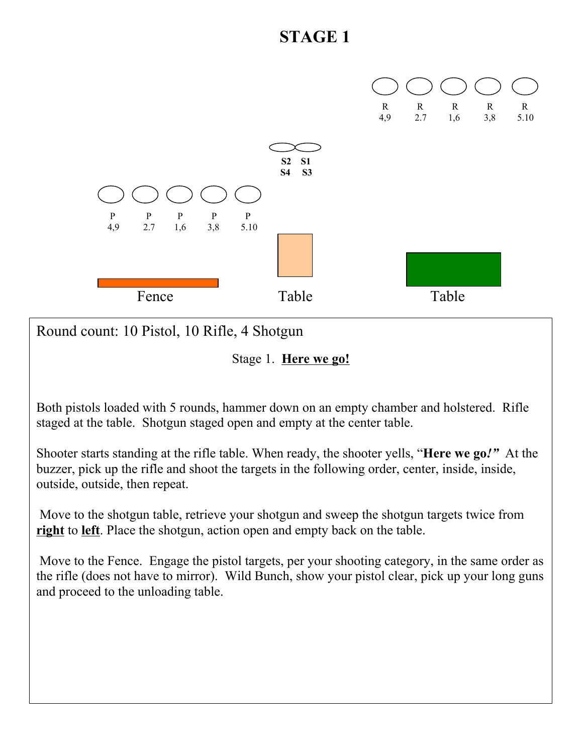

Round count: 10 Pistol, 10 Rifle, 4 Shotgun

Stage 1. **Here we go!**

Both pistols loaded with 5 rounds, hammer down on an empty chamber and holstered. Rifle staged at the table. Shotgun staged open and empty at the center table.

Shooter starts standing at the rifle table. When ready, the shooter yells, "**Here we go***!"* At the buzzer, pick up the rifle and shoot the targets in the following order, center, inside, inside, outside, outside, then repeat.

Move to the shotgun table, retrieve your shotgun and sweep the shotgun targets twice from **right** to **left**. Place the shotgun, action open and empty back on the table.

Move to the Fence. Engage the pistol targets, per your shooting category, in the same order as the rifle (does not have to mirror). Wild Bunch, show your pistol clear, pick up your long guns and proceed to the unloading table.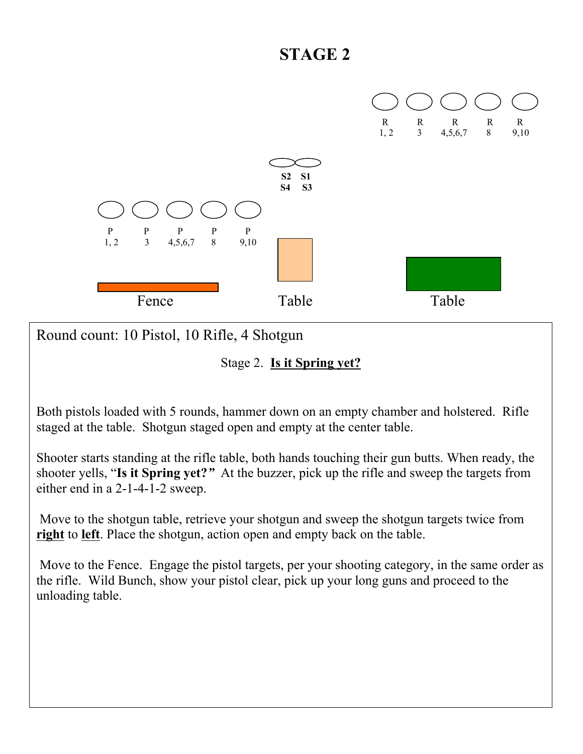

Round count: 10 Pistol, 10 Rifle, 4 Shotgun

Stage 2. **Is it Spring yet?**

Both pistols loaded with 5 rounds, hammer down on an empty chamber and holstered. Rifle staged at the table. Shotgun staged open and empty at the center table.

Shooter starts standing at the rifle table, both hands touching their gun butts. When ready, the shooter yells, "**Is it Spring yet?***"* At the buzzer, pick up the rifle and sweep the targets from either end in a 2-1-4-1-2 sweep.

Move to the shotgun table, retrieve your shotgun and sweep the shotgun targets twice from **right** to **left**. Place the shotgun, action open and empty back on the table.

Move to the Fence. Engage the pistol targets, per your shooting category, in the same order as the rifle. Wild Bunch, show your pistol clear, pick up your long guns and proceed to the unloading table.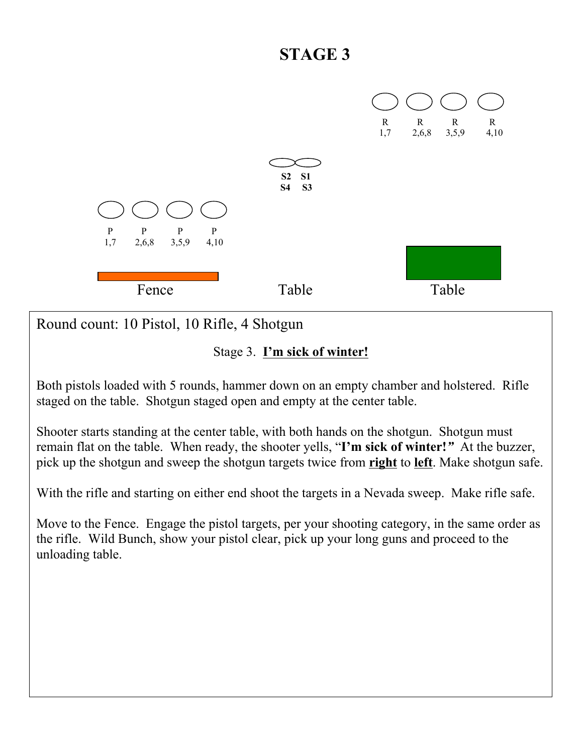

Stage 3. **I'm sick of winter!**

Both pistols loaded with 5 rounds, hammer down on an empty chamber and holstered. Rifle staged on the table. Shotgun staged open and empty at the center table.

Shooter starts standing at the center table, with both hands on the shotgun. Shotgun must remain flat on the table. When ready, the shooter yells, "**I'm sick of winter!***"* At the buzzer, pick up the shotgun and sweep the shotgun targets twice from **right** to **left**. Make shotgun safe.

With the rifle and starting on either end shoot the targets in a Nevada sweep. Make rifle safe.

Move to the Fence. Engage the pistol targets, per your shooting category, in the same order as the rifle. Wild Bunch, show your pistol clear, pick up your long guns and proceed to the unloading table.